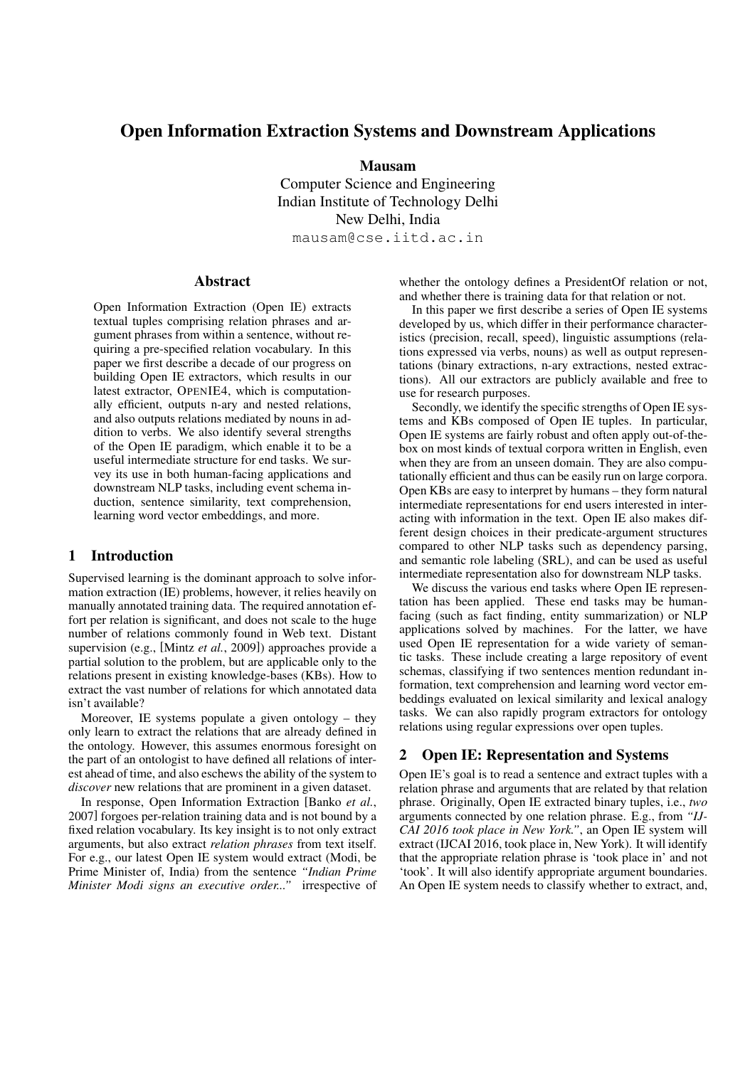# Open Information Extraction Systems and Downstream Applications

Mausam

Computer Science and Engineering Indian Institute of Technology Delhi New Delhi, India

mausam@cse.iitd.ac.in

### Abstract

Open Information Extraction (Open IE) extracts textual tuples comprising relation phrases and argument phrases from within a sentence, without requiring a pre-specified relation vocabulary. In this paper we first describe a decade of our progress on building Open IE extractors, which results in our latest extractor, OPENIE4, which is computationally efficient, outputs n-ary and nested relations, and also outputs relations mediated by nouns in addition to verbs. We also identify several strengths of the Open IE paradigm, which enable it to be a useful intermediate structure for end tasks. We survey its use in both human-facing applications and downstream NLP tasks, including event schema induction, sentence similarity, text comprehension, learning word vector embeddings, and more.

### 1 Introduction

Supervised learning is the dominant approach to solve information extraction (IE) problems, however, it relies heavily on manually annotated training data. The required annotation effort per relation is significant, and does not scale to the huge number of relations commonly found in Web text. Distant supervision (e.g., [Mintz *et al.*, 2009]) approaches provide a partial solution to the problem, but are applicable only to the relations present in existing knowledge-bases (KBs). How to extract the vast number of relations for which annotated data isn't available?

Moreover, IE systems populate a given ontology – they only learn to extract the relations that are already defined in the ontology. However, this assumes enormous foresight on the part of an ontologist to have defined all relations of interest ahead of time, and also eschews the ability of the system to *discover* new relations that are prominent in a given dataset.

In response, Open Information Extraction [Banko *et al.*, 2007] forgoes per-relation training data and is not bound by a fixed relation vocabulary. Its key insight is to not only extract arguments, but also extract *relation phrases* from text itself. For e.g., our latest Open IE system would extract (Modi, be Prime Minister of, India) from the sentence *"Indian Prime Minister Modi signs an executive order..."* irrespective of whether the ontology defines a PresidentOf relation or not, and whether there is training data for that relation or not.

In this paper we first describe a series of Open IE systems developed by us, which differ in their performance characteristics (precision, recall, speed), linguistic assumptions (relations expressed via verbs, nouns) as well as output representations (binary extractions, n-ary extractions, nested extractions). All our extractors are publicly available and free to use for research purposes.

Secondly, we identify the specific strengths of Open IE systems and KBs composed of Open IE tuples. In particular, Open IE systems are fairly robust and often apply out-of-thebox on most kinds of textual corpora written in English, even when they are from an unseen domain. They are also computationally efficient and thus can be easily run on large corpora. Open KBs are easy to interpret by humans – they form natural intermediate representations for end users interested in interacting with information in the text. Open IE also makes different design choices in their predicate-argument structures compared to other NLP tasks such as dependency parsing, and semantic role labeling (SRL), and can be used as useful intermediate representation also for downstream NLP tasks.

We discuss the various end tasks where Open IE representation has been applied. These end tasks may be humanfacing (such as fact finding, entity summarization) or NLP applications solved by machines. For the latter, we have used Open IE representation for a wide variety of semantic tasks. These include creating a large repository of event schemas, classifying if two sentences mention redundant information, text comprehension and learning word vector embeddings evaluated on lexical similarity and lexical analogy tasks. We can also rapidly program extractors for ontology relations using regular expressions over open tuples.

### 2 Open IE: Representation and Systems

Open IE's goal is to read a sentence and extract tuples with a relation phrase and arguments that are related by that relation phrase. Originally, Open IE extracted binary tuples, i.e., *two* arguments connected by one relation phrase. E.g., from *"IJ-CAI 2016 took place in New York."*, an Open IE system will extract (IJCAI 2016, took place in, New York). It will identify that the appropriate relation phrase is 'took place in' and not 'took'. It will also identify appropriate argument boundaries. An Open IE system needs to classify whether to extract, and,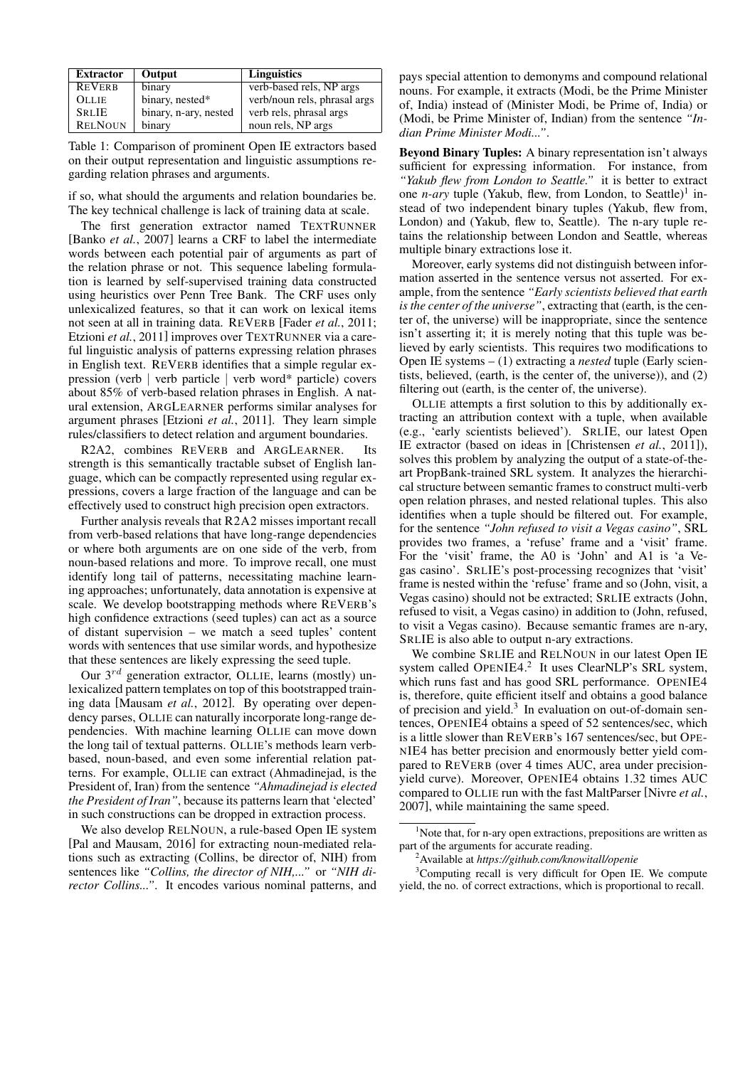| <b>Extractor</b> | Output                | <b>Linguistics</b>           |
|------------------|-----------------------|------------------------------|
| <b>REVERB</b>    | binary                | verb-based rels, NP args     |
| <b>OLLIE</b>     | binary, nested*       | verb/noun rels, phrasal args |
| <b>SRLIE</b>     | binary, n-ary, nested | verb rels, phrasal args      |
| <b>RELNOUN</b>   | binary                | noun rels, NP args           |

Table 1: Comparison of prominent Open IE extractors based on their output representation and linguistic assumptions regarding relation phrases and arguments.

if so, what should the arguments and relation boundaries be. The key technical challenge is lack of training data at scale.

The first generation extractor named TEXTRUNNER [Banko *et al.*, 2007] learns a CRF to label the intermediate words between each potential pair of arguments as part of the relation phrase or not. This sequence labeling formulation is learned by self-supervised training data constructed using heuristics over Penn Tree Bank. The CRF uses only unlexicalized features, so that it can work on lexical items not seen at all in training data. REVERB [Fader *et al.*, 2011; Etzioni *et al.*, 2011] improves over TEXTRUNNER via a careful linguistic analysis of patterns expressing relation phrases in English text. REVERB identifies that a simple regular expression (verb | verb particle | verb word\* particle) covers about 85% of verb-based relation phrases in English. A natural extension, ARGLEARNER performs similar analyses for argument phrases [Etzioni *et al.*, 2011]. They learn simple rules/classifiers to detect relation and argument boundaries.

R2A2, combines REVERB and ARGLEARNER. Its strength is this semantically tractable subset of English language, which can be compactly represented using regular expressions, covers a large fraction of the language and can be effectively used to construct high precision open extractors.

Further analysis reveals that R2A2 misses important recall from verb-based relations that have long-range dependencies or where both arguments are on one side of the verb, from noun-based relations and more. To improve recall, one must identify long tail of patterns, necessitating machine learning approaches; unfortunately, data annotation is expensive at scale. We develop bootstrapping methods where REVERB's high confidence extractions (seed tuples) can act as a source of distant supervision – we match a seed tuples' content words with sentences that use similar words, and hypothesize that these sentences are likely expressing the seed tuple.

Our  $3^{rd}$  generation extractor, OLLIE, learns (mostly) unlexicalized pattern templates on top of this bootstrapped training data [Mausam *et al.*, 2012]. By operating over dependency parses, OLLIE can naturally incorporate long-range dependencies. With machine learning OLLIE can move down the long tail of textual patterns. OLLIE's methods learn verbbased, noun-based, and even some inferential relation patterns. For example, OLLIE can extract (Ahmadinejad, is the President of, Iran) from the sentence *"Ahmadinejad is elected the President of Iran"*, because its patterns learn that 'elected' in such constructions can be dropped in extraction process.

We also develop RELNOUN, a rule-based Open IE system [Pal and Mausam, 2016] for extracting noun-mediated relations such as extracting (Collins, be director of, NIH) from sentences like *"Collins, the director of NIH,..."* or *"NIH director Collins..."*. It encodes various nominal patterns, and

pays special attention to demonyms and compound relational nouns. For example, it extracts (Modi, be the Prime Minister of, India) instead of (Minister Modi, be Prime of, India) or (Modi, be Prime Minister of, Indian) from the sentence *"Indian Prime Minister Modi..."*.

Beyond Binary Tuples: A binary representation isn't always sufficient for expressing information. For instance, from *"Yakub flew from London to Seattle."* it is better to extract one *n-ary* tuple (Yakub, flew, from London, to Seattle)<sup>1</sup> instead of two independent binary tuples (Yakub, flew from, London) and (Yakub, flew to, Seattle). The n-ary tuple retains the relationship between London and Seattle, whereas multiple binary extractions lose it.

Moreover, early systems did not distinguish between information asserted in the sentence versus not asserted. For example, from the sentence *"Early scientists believed that earth is the center of the universe"*, extracting that (earth, is the center of, the universe) will be inappropriate, since the sentence isn't asserting it; it is merely noting that this tuple was believed by early scientists. This requires two modifications to Open IE systems – (1) extracting a *nested* tuple (Early scientists, believed, (earth, is the center of, the universe)), and (2) filtering out (earth, is the center of, the universe).

OLLIE attempts a first solution to this by additionally extracting an attribution context with a tuple, when available (e.g., 'early scientists believed'). SRLIE, our latest Open IE extractor (based on ideas in [Christensen *et al.*, 2011]), solves this problem by analyzing the output of a state-of-theart PropBank-trained SRL system. It analyzes the hierarchical structure between semantic frames to construct multi-verb open relation phrases, and nested relational tuples. This also identifies when a tuple should be filtered out. For example, for the sentence *"John refused to visit a Vegas casino"*, SRL provides two frames, a 'refuse' frame and a 'visit' frame. For the 'visit' frame, the A0 is 'John' and A1 is 'a Vegas casino'. SRLIE's post-processing recognizes that 'visit' frame is nested within the 'refuse' frame and so (John, visit, a Vegas casino) should not be extracted; SRLIE extracts (John, refused to visit, a Vegas casino) in addition to (John, refused, to visit a Vegas casino). Because semantic frames are n-ary, SRLIE is also able to output n-ary extractions.

We combine SRLIE and RELNOUN in our latest Open IE system called OPENIE4.<sup>2</sup> It uses ClearNLP's SRL system, which runs fast and has good SRL performance. OPENIE4 is, therefore, quite efficient itself and obtains a good balance of precision and yield.<sup>3</sup> In evaluation on out-of-domain sentences, OPENIE4 obtains a speed of 52 sentences/sec, which is a little slower than REVERB's 167 sentences/sec, but OPE-NIE4 has better precision and enormously better yield compared to REVERB (over 4 times AUC, area under precisionyield curve). Moreover, OPENIE4 obtains 1.32 times AUC compared to OLLIE run with the fast MaltParser [Nivre *et al.*, 2007], while maintaining the same speed.

<sup>&</sup>lt;sup>1</sup>Note that, for n-ary open extractions, prepositions are written as part of the arguments for accurate reading.

<sup>2</sup>Available at *https://github.com/knowitall/openie*

<sup>&</sup>lt;sup>3</sup>Computing recall is very difficult for Open IE. We compute yield, the no. of correct extractions, which is proportional to recall.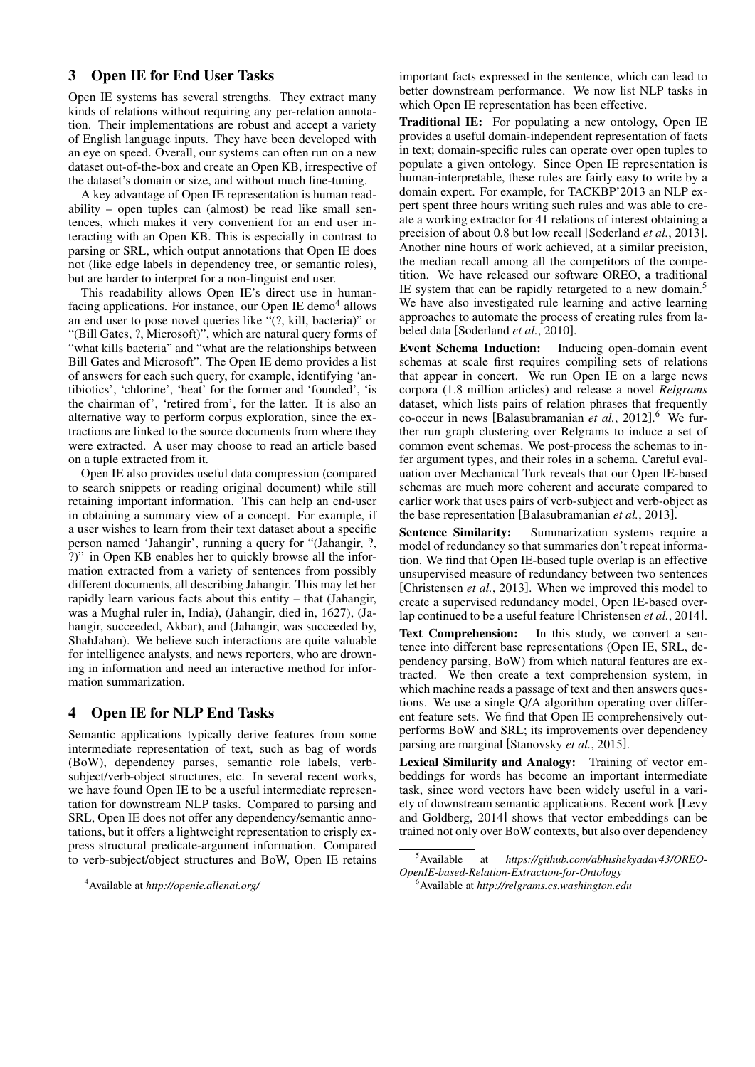### 3 Open IE for End User Tasks

Open IE systems has several strengths. They extract many kinds of relations without requiring any per-relation annotation. Their implementations are robust and accept a variety of English language inputs. They have been developed with an eye on speed. Overall, our systems can often run on a new dataset out-of-the-box and create an Open KB, irrespective of the dataset's domain or size, and without much fine-tuning.

A key advantage of Open IE representation is human readability – open tuples can (almost) be read like small sentences, which makes it very convenient for an end user interacting with an Open KB. This is especially in contrast to parsing or SRL, which output annotations that Open IE does not (like edge labels in dependency tree, or semantic roles), but are harder to interpret for a non-linguist end user.

This readability allows Open IE's direct use in humanfacing applications. For instance, our Open IE demo<sup>4</sup> allows an end user to pose novel queries like "(?, kill, bacteria)" or "(Bill Gates, ?, Microsoft)", which are natural query forms of "what kills bacteria" and "what are the relationships between Bill Gates and Microsoft". The Open IE demo provides a list of answers for each such query, for example, identifying 'antibiotics', 'chlorine', 'heat' for the former and 'founded', 'is the chairman of', 'retired from', for the latter. It is also an alternative way to perform corpus exploration, since the extractions are linked to the source documents from where they were extracted. A user may choose to read an article based on a tuple extracted from it.

Open IE also provides useful data compression (compared to search snippets or reading original document) while still retaining important information. This can help an end-user in obtaining a summary view of a concept. For example, if a user wishes to learn from their text dataset about a specific person named 'Jahangir', running a query for "(Jahangir, ?, ?)" in Open KB enables her to quickly browse all the information extracted from a variety of sentences from possibly different documents, all describing Jahangir. This may let her rapidly learn various facts about this entity – that (Jahangir, was a Mughal ruler in, India), (Jahangir, died in, 1627), (Jahangir, succeeded, Akbar), and (Jahangir, was succeeded by, ShahJahan). We believe such interactions are quite valuable for intelligence analysts, and news reporters, who are drowning in information and need an interactive method for information summarization.

## 4 Open IE for NLP End Tasks

Semantic applications typically derive features from some intermediate representation of text, such as bag of words (BoW), dependency parses, semantic role labels, verbsubject/verb-object structures, etc. In several recent works, we have found Open IE to be a useful intermediate representation for downstream NLP tasks. Compared to parsing and SRL, Open IE does not offer any dependency/semantic annotations, but it offers a lightweight representation to crisply express structural predicate-argument information. Compared to verb-subject/object structures and BoW, Open IE retains

important facts expressed in the sentence, which can lead to better downstream performance. We now list NLP tasks in which Open IE representation has been effective.

Traditional IE: For populating a new ontology, Open IE provides a useful domain-independent representation of facts in text; domain-specific rules can operate over open tuples to populate a given ontology. Since Open IE representation is human-interpretable, these rules are fairly easy to write by a domain expert. For example, for TACKBP'2013 an NLP expert spent three hours writing such rules and was able to create a working extractor for 41 relations of interest obtaining a precision of about 0.8 but low recall [Soderland *et al.*, 2013]. Another nine hours of work achieved, at a similar precision, the median recall among all the competitors of the competition. We have released our software OREO, a traditional IE system that can be rapidly retargeted to a new domain.<sup>5</sup> We have also investigated rule learning and active learning approaches to automate the process of creating rules from labeled data [Soderland *et al.*, 2010].

Event Schema Induction: Inducing open-domain event schemas at scale first requires compiling sets of relations that appear in concert. We run Open IE on a large news corpora (1.8 million articles) and release a novel *Relgrams* dataset, which lists pairs of relation phrases that frequently co-occur in news [Balasubramanian *et al.*, 2012]. <sup>6</sup> We further run graph clustering over Relgrams to induce a set of common event schemas. We post-process the schemas to infer argument types, and their roles in a schema. Careful evaluation over Mechanical Turk reveals that our Open IE-based schemas are much more coherent and accurate compared to earlier work that uses pairs of verb-subject and verb-object as the base representation [Balasubramanian *et al.*, 2013].

Sentence Similarity: Summarization systems require a model of redundancy so that summaries don't repeat information. We find that Open IE-based tuple overlap is an effective unsupervised measure of redundancy between two sentences [Christensen *et al.*, 2013]. When we improved this model to create a supervised redundancy model, Open IE-based overlap continued to be a useful feature [Christensen *et al.*, 2014].

Text Comprehension: In this study, we convert a sentence into different base representations (Open IE, SRL, dependency parsing, BoW) from which natural features are extracted. We then create a text comprehension system, in which machine reads a passage of text and then answers questions. We use a single Q/A algorithm operating over different feature sets. We find that Open IE comprehensively outperforms BoW and SRL; its improvements over dependency parsing are marginal [Stanovsky *et al.*, 2015].

Lexical Similarity and Analogy: Training of vector embeddings for words has become an important intermediate task, since word vectors have been widely useful in a variety of downstream semantic applications. Recent work [Levy and Goldberg, 2014] shows that vector embeddings can be trained not only over BoW contexts, but also over dependency

<sup>4</sup>Available at *http://openie.allenai.org/*

<sup>5</sup>Available at *https://github.com/abhishekyadav43/OREO-OpenIE-based-Relation-Extraction-for-Ontology*

<sup>6</sup>Available at *http://relgrams.cs.washington.edu*